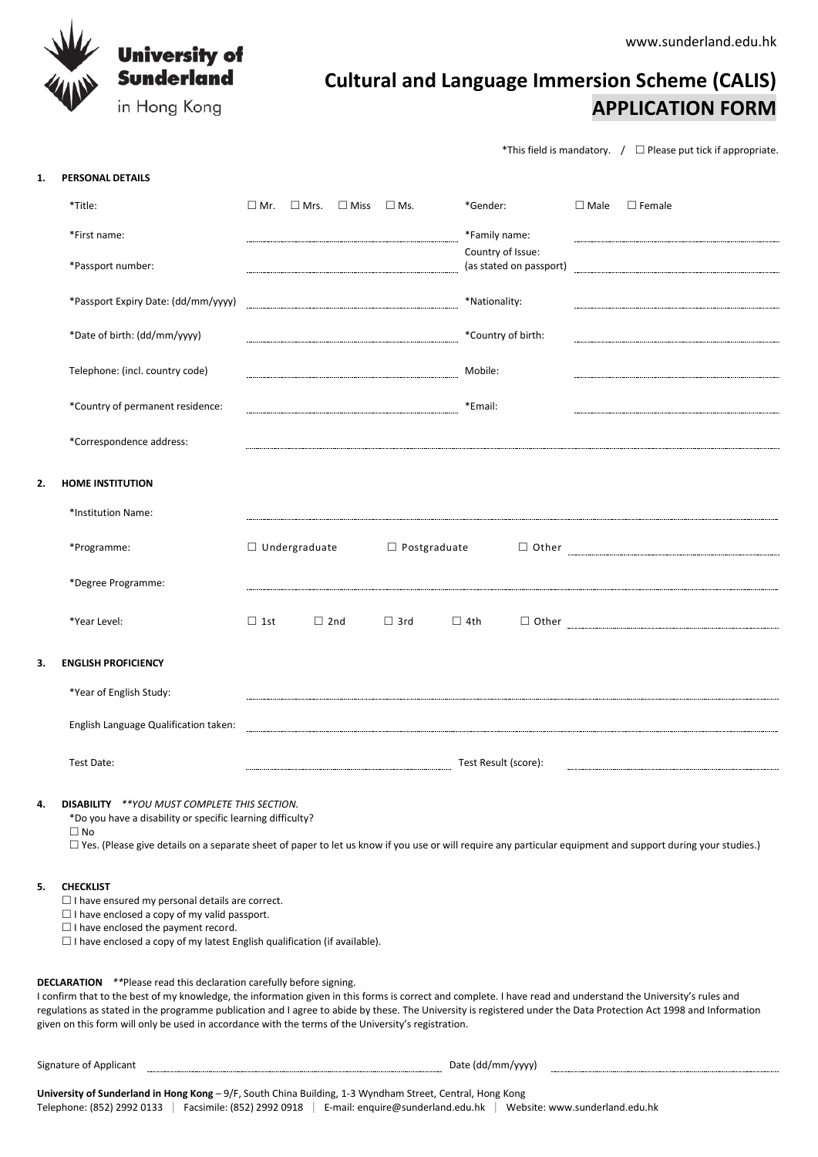www.sunderland.edu.hk



# **Cultural and Language Immersion Scheme (CALIS) APPLICATION FORM**

\*This field is mandatory.  $\int \Box$  Please put tick if appropriate.

## **1. PERSONAL DETAILS**

|    | *Title:                               | $\square$ Mr.        | $\square$ Mrs. | $\square$ Miss | $\square$ Ms.       | *Gender:      |                                              | $\square$ Male | $\square$ Female                                                             |
|----|---------------------------------------|----------------------|----------------|----------------|---------------------|---------------|----------------------------------------------|----------------|------------------------------------------------------------------------------|
|    | *First name:                          |                      |                |                |                     |               | *Family name:                                |                |                                                                              |
|    | *Passport number:                     |                      |                |                |                     |               | Country of Issue:<br>(as stated on passport) |                |                                                                              |
|    | *Passport Expiry Date: (dd/mm/yyyy)   |                      |                |                |                     | *Nationality: |                                              |                |                                                                              |
|    | *Date of birth: (dd/mm/yyyy)          |                      |                |                |                     |               | *Country of birth:                           |                |                                                                              |
|    | Telephone: (incl. country code)       |                      |                |                |                     | Mobile:       |                                              |                |                                                                              |
|    | *Country of permanent residence:      |                      |                |                |                     | *Email:       |                                              |                |                                                                              |
|    | *Correspondence address:              |                      |                |                |                     |               |                                              |                |                                                                              |
| 2. | <b>HOME INSTITUTION</b>               |                      |                |                |                     |               |                                              |                |                                                                              |
|    | *Institution Name:                    |                      |                |                |                     |               |                                              |                |                                                                              |
|    | *Programme:                           | $\Box$ Undergraduate |                |                | $\Box$ Postgraduate |               |                                              |                | $\begin{tabular}{ c c c } \hline \quad \quad & Other \\\hline \end{tabular}$ |
|    | *Degree Programme:                    |                      |                |                |                     |               |                                              |                |                                                                              |
|    | *Year Level:                          | $\Box$ 1st           |                | $\Box$ 2nd     | $\Box$ 3rd          | $\Box$ 4th    |                                              |                | $\hfill \Box\hspace{2pt} \mbox{Other} \hspace{2pt} \rule{2pt}{2pt}$          |
| 3. | <b>ENGLISH PROFICIENCY</b>            |                      |                |                |                     |               |                                              |                |                                                                              |
|    | *Year of English Study:               |                      |                |                |                     |               |                                              |                |                                                                              |
|    | English Language Qualification taken: |                      |                |                |                     |               |                                              |                |                                                                              |
|    | Test Date:                            |                      |                |                |                     |               | Test Result (score):                         |                |                                                                              |
|    |                                       |                      |                |                |                     |               |                                              |                |                                                                              |

# **4. DISABILITY** *\*\*YOU MUST COMPLETE THIS SECTION.*

\*Do you have a disability or specific learning difficulty?

 $\Box$  No

 $\Box$  Yes. (Please give details on a separate sheet of paper to let us know if you use or will require any particular equipment and support during your studies.)

#### **5. CHECKLIST**

 $\square$  I have ensured my personal details are correct.

 $\Box$  I have enclosed a copy of my valid passport.

 $\Box$  I have enclosed the payment record.

 $\square$  I have enclosed a copy of my latest English qualification (if available).

# **DECLARATION** *\*\**Please read this declaration carefully before signing.

I confirm that to the best of my knowledge, the information given in this forms is correct and complete. I have read and understand the University's rules and regulations as stated in the programme publication and I agree to abide by these. The University is registered under the Data Protection Act 1998 and Information given on this form will only be used in accordance with the terms of the University's registration.

Signature of Applicant **Date (dd/mm/yyyy)** Date (dd/mm/yyyy)